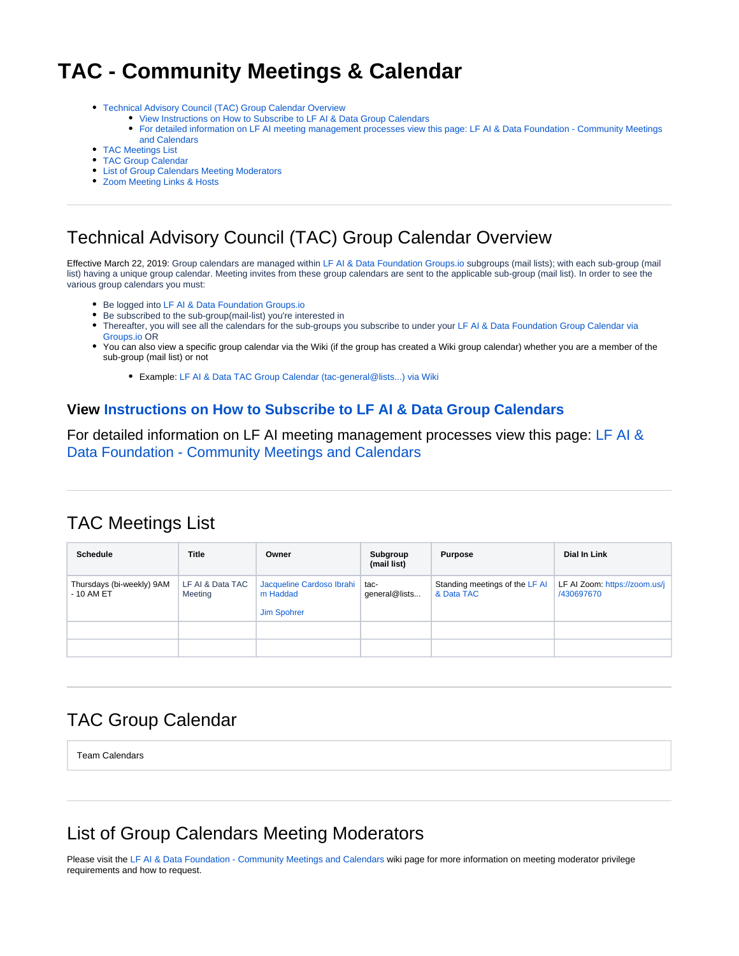# <span id="page-0-6"></span>**TAC - Community Meetings & Calendar**

- [Technical Advisory Council \(TAC\) Group Calendar Overview](#page-0-0)
	- [View Instructions on How to Subscribe to LF AI & Data Group Calendars](#page-0-1)
	- [For detailed information on LF AI meeting management processes view this page: LF AI & Data Foundation Community Meetings](#page-0-2)  [and Calendars](#page-0-2)
- [TAC Meetings List](#page-0-3)
- [TAC Group Calendar](#page-0-4)
- [List of Group Calendars Meeting Moderators](#page-0-5)
- [Zoom Meeting Links & Hosts](#page-1-0)

# <span id="page-0-0"></span>Technical Advisory Council (TAC) Group Calendar Overview

Effective March 22, 2019: Group calendars are managed within [LF AI & Data Foundation Groups.io](https://lists.lfaidata.foundation/groups) subgroups (mail lists); with each sub-group (mail list) having a unique group calendar. Meeting invites from these group calendars are sent to the applicable sub-group (mail list). In order to see the various group calendars you must:

- Be logged into [LF AI & Data Foundation Groups.io](https://lists.lfaidata.foundation/groups)
- Be subscribed to the sub-group(mail-list) you're interested in
- Thereafter, you will see all the calendars for the sub-groups you subscribe to under your [LF AI & Data Foundation Group Calendar via](https://lists.lfaidata.foundation/calendar)  [Groups.io](https://lists.lfaidata.foundation/calendar) OR
- You can also view a specific group calendar via the Wiki (if the group has created a Wiki group calendar) whether you are a member of the sub-group (mail list) or not
	- Example: [LF AI & Data TAC Group Calendar \(tac-general@lists...\) via Wiki](#page-0-6)

#### <span id="page-0-1"></span>**View [Instructions on How to Subscribe to LF AI & Data Group Calendars](https://wiki.lfaidata.foundation/pages/viewpage.action?pageId=12091872)**

<span id="page-0-2"></span>For detailed information on LF AI meeting management processes view this page: [LF AI &](https://wiki.lfaidata.foundation/pages/viewpage.action?pageId=12091872)  [Data Foundation - Community Meetings and Calendars](https://wiki.lfaidata.foundation/pages/viewpage.action?pageId=12091872)

### <span id="page-0-3"></span>TAC Meetings List

| <b>Schedule</b>                          | Title                       | Owner                                                       | Subgroup<br>(mail list) | <b>Purpose</b>                               | Dial In Link                                |
|------------------------------------------|-----------------------------|-------------------------------------------------------------|-------------------------|----------------------------------------------|---------------------------------------------|
| Thursdays (bi-weekly) 9AM<br>$-10$ AM ET | LF AI & Data TAC<br>Meeting | Jacqueline Cardoso Ibrahi<br>m Haddad<br><b>Jim Spohrer</b> | tac-<br>general@lists   | Standing meetings of the LF AI<br>& Data TAC | LF AI Zoom: https://zoom.us/j<br>/430697670 |
|                                          |                             |                                                             |                         |                                              |                                             |
|                                          |                             |                                                             |                         |                                              |                                             |

#### <span id="page-0-4"></span>TAC Group Calendar

Team Calendars

### <span id="page-0-5"></span>List of Group Calendars Meeting Moderators

Please visit the [LF AI & Data Foundation - Community Meetings and Calendars](https://wiki.lfaidata.foundation/display/DL/LF+AI+Foundation+-+Community+Meetings+and+Calendars#LFAIFoundation-CommunityMeetingsandCalendars-Scheduling/ManagingMeetingsinGroupCalendars) wiki page for more information on meeting moderator privilege requirements and how to request.